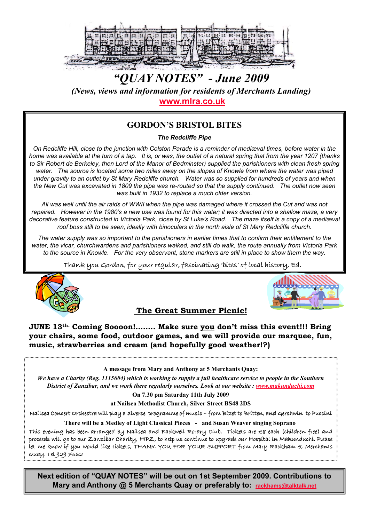

# "QUAY NOTES" - June 2009 (News, views and information for residents of Merchants Landing) www.mlra.co.uk

## GORDON'S BRISTOL BITES

The Redcliffe Pipe

On Redcliffe Hill, close to the junction with Colston Parade is a reminder of mediæval times, before water in the home was available at the turn of a tap. It is, or was, the outlet of a natural spring that from the year 1207 (thanks to Sir Robert de Berkeley, then Lord of the Manor of Bedminster) supplied the parishioners with clean fresh spring water. The source is located some two miles away on the slopes of Knowle from where the water was piped under gravity to an outlet by St Mary Redcliffe church. Water was so supplied for hundreds of years and when the New Cut was excavated in 1809 the pipe was re-routed so that the supply continued. The outlet now seen was built in 1932 to replace a much older version.

All was well until the air raids of WWII when the pipe was damaged where it crossed the Cut and was not repaired. However in the 1980's a new use was found for this water; it was directed into a shallow maze, a very decorative feature constructed in Victoria Park, close by St Luke's Road. The maze itself is a copy of a mediæval roof boss still to be seen, ideally with binoculars in the north aisle of St Mary Redcliffe church.

The water supply was so important to the parishioners in earlier times that to confirm their entitlement to the water, the vicar, churchwardens and parishioners walked, and still do walk, the route annually from Victoria Park to the source in Knowle. For the very observant, stone markers are still in place to show them the way.

Thank you Gordon, for your regular, fascinating 'bites' of local history, Ed.





The Great Summer Picnic!

JUNE 13th. Coming Soooon!…….. Make sure you don't miss this event!!! Bring your chairs, some food, outdoor games, and we will provide our marquee, fun, music, strawberries and cream (and hopefully good weather!?)

A message from Mary and Anthony at 5 Merchants Quay:

We have a Charity (Reg. 1115604) which is working to supply a full healthcare service to people in the Southern District of Zanzibar, and we work there regularly ourselves. Look at our website : www.makunduchi.com

On 7.30 pm Saturday 11th July 2009

at Nailsea Methodist Church, Silver Street BS48 2DS

Nailsea Concert Orchestra will play a diverse programme of music – from Bizet to Britten, and Gershwin to Puccini

There will be a Medley of Light Classical Pieces - and Susan Weaver singing Soprano

This evening has been arranged by Nailsea and Backwell Rotary Club. Tickets are  $E8$  each (children free) and proceeds will go to our Zanzibar Charity, HIPZ, to help us continue to upgrade our Hospital in Makunduchi. Please Let me know if you would like tickets, THANK YOU FOR YOUR SUPPORT from Mary Rackham 5, Merchants Quay. Tel 929 7562

Next edition of "QUAY NOTES" will be out on 1st September 2009. Contributions to Mary and Anthony @ 5 Merchants Quay or preferably to: rackhams@talktalk.net